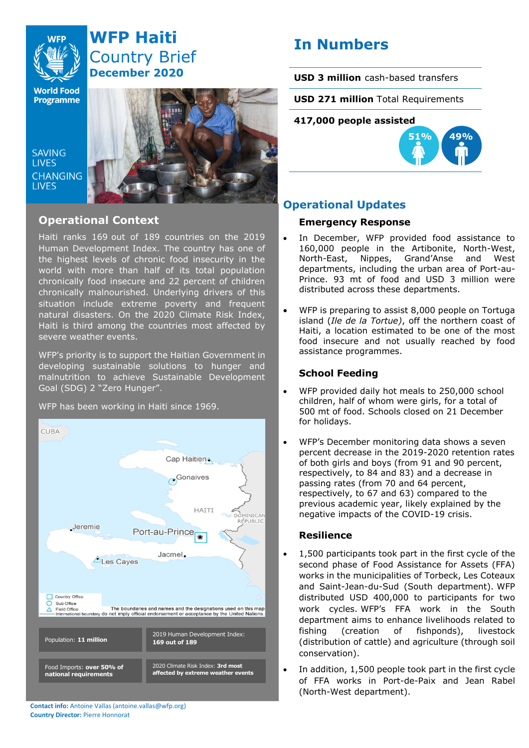

# **WFP Haiti Country Brief December 2020**

**World Food Programme** 

SAVING **TIVES CHANGING LIVES** 



## **Operational Context**

Haiti ranks 169 out of 189 countries on the 2019 Human Development Index. The country has one of the highest levels of chronic food insecurity in the world with more than half of its total population chronically food insecure and 22 percent of children chronically malnourished. Underlying drivers of this situation include extreme poverty and frequent natural disasters. On the 2020 Climate Risk Index, Haiti is third among the countries most affected by severe weather events.

WFP's priority is to support the Haitian Government in developing sustainable solutions to hunger and malnutrition to achieve Sustainable Development Goal (SDG) 2 "Zero Hunger".

## WFP has been working in Haiti since 1969.



**Contact info:** Antoine Vallas (antoine.vallas@wfp.org) **Country Director:** Pierre Honnorat

# **In Numbers**

**USD 3 million** cash-based transfers

**USD 271 million** Total Requirements

## **417,000 people assisted**



## **Operational Updates**

## **Emergency Response**

- In December, WFP provided food assistance to 160,000 people in the Artibonite, North-West, North-East, Nippes, Grand'Anse and West departments, including the urban area of Port-au-Prince. 93 mt of food and USD 3 million were distributed across these departments.
- WFP is preparing to assist 8,000 people on Tortuga island (*Ile de la Tortue)*, off the northern coast of Haiti, a location estimated to be one of the most food insecure and not usually reached by food assistance programmes.

## **School Feeding**

- WFP provided daily hot meals to 250,000 school children, half of whom were girls, for a total of 500 mt of food. Schools closed on 21 December for holidays.
- WFP's December monitoring data shows a seven percent decrease in the 2019-2020 retention rates of both girls and boys (from 91 and 90 percent, respectively, to 84 and 83) and a decrease in passing rates (from 70 and 64 percent, respectively, to 67 and 63) compared to the previous academic year, likely explained by the negative impacts of the COVID-19 crisis.

## **Resilience**

- 1,500 participants took part in the first cycle of the second phase of Food Assistance for Assets (FFA) works in the municipalities of Torbeck, Les Coteaux and Saint-Jean-du-Sud (South department). WFP distributed USD 400,000 to participants for two work cycles. WFP's FFA work in the South department aims to enhance livelihoods related to fishing (creation of fishponds), livestock (distribution of cattle) and agriculture (through soil conservation).
- In addition, 1,500 people took part in the first cycle of FFA works in Port-de-Paix and Jean Rabel (North-West department).